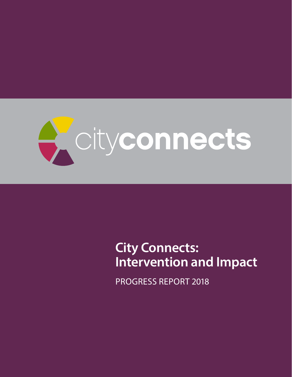

# **City Connects: Intervention and Impact**

PROGRESS REPORT 2018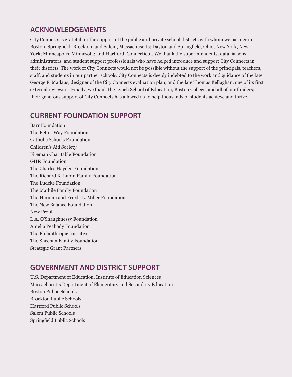## **ACKNOWLEDGEMENTS**

City Connects is grateful for the support of the public and private school districts with whom we partner in Boston, Springfield, Brockton, and Salem, Massachusetts; Dayton and Springfield, Ohio; New York, New York; Minneapolis, Minnesota; and Hartford, Connecticut. We thank the superintendents, data liaisons, administrators, and student support professionals who have helped introduce and support City Connects in their districts. The work of City Connects would not be possible without the support of the principals, teachers, staff, and students in our partner schools. City Connects is deeply indebted to the work and guidance of the late George F. Madaus, designer of the City Connects evaluation plan, and the late Thomas Kellaghan, one of its first external reviewers. Finally, we thank the Lynch School of Education, Boston College, and all of our funders; their generous support of City Connects has allowed us to help thousands of students achieve and thrive.

## **CURRENT FOUNDATION SUPPORT**

Barr Foundation The Better Way Foundation Catholic Schools Foundation Children's Aid Society Fireman Charitable Foundation GHR Foundation The Charles Hayden Foundation The Richard K. Lubin Family Foundation The Ludcke Foundation The Mathile Family Foundation The Herman and Frieda L. Miller Foundation The New Balance Foundation New Profit I. A. O'Shaughnessy Foundation Amelia Peabody Foundation The Philanthropic Initiative The Sheehan Family Foundation Strategic Grant Partners

## **GOVERNMENT AND DISTRICT SUPPORT**

U.S. Department of Education, Institute of Education Sciences Massachusetts Department of Elementary and Secondary Education Boston Public Schools Brockton Public Schools Hartford Public Schools Salem Public Schools Springfield Public Schools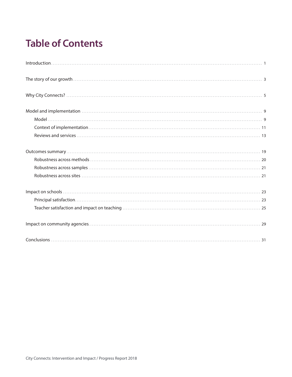# **Table of Contents**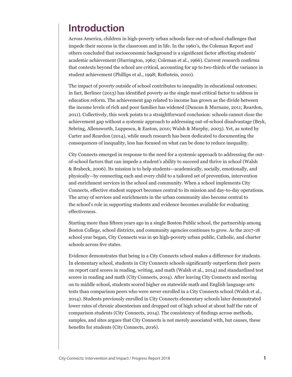# **Introduction**

Across America, children in high-poverty urban schools face out-of-school challenges that impede their success in the classroom and in life. In the 1960's, the Coleman Report and others concluded that socioeconomic background is a significant factor affecting students' academic achievement (Harrington, 1962; Coleman et al., 1966). Current research confirms that contexts beyond the school are critical, accounting for up to two-thirds of the variance in student achievement (Phillips et al., 1998; Rothstein, 2010).

The impact of poverty outside of school contributes to inequality in educational outcomes; in fact, Berliner (2013) has identified poverty as the single most critical factor to address in education reform. The achievement gap related to income has grown as the divide between the income levels of rich and poor families has widened (Duncan & Murnane, 2011; Reardon, 2011). Collectively, this work points to a straightforward conclusion: schools cannot close the achievement gap without a systemic approach to addressing out-of-school disadvantage (Bryk, Sebring, Allensworth, Luppescu, & Easton, 2010; Walsh & Murphy, 2003). Yet, as noted by Carter and Reardon (2014), while much research has been dedicated to documenting the consequences of inequality, less has focused on what can be done to reduce inequality.

City Connects emerged in response to the need for a systemic approach to addressing the outof-school factors that can impede a student's ability to succeed and thrive in school (Walsh & Brabeck, 2006). Its mission is to help students—academically, socially, emotionally, and physically—by connecting each and every child to a tailored set of prevention, intervention and enrichment services in the school and community. When a school implements City Connects, effective student support becomes central to its mission and day-to-day operations. The array of services and enrichments in the urban community also become central to the school's role in supporting students and evidence becomes available for evaluating effectiveness.

Starting more than fifteen years ago in a single Boston Public school, the partnership among Boston College, school districts, and community agencies continues to grow. As the 2017-18 school year began, City Connects was in 90 high-poverty urban public, Catholic, and charter schools across five states.

Evidence demonstrates that being in a City Connects school makes a difference for students. In elementary school, students in City Connects schools significantly outperform their peers on report card scores in reading, writing, and math (Walsh et al., 2014) and standardized test scores in reading and math (City Connects, 2014). After leaving City Connects and moving on to middle school, students scored higher on statewide math and English language arts tests than comparison peers who were never enrolled in a City Connects school (Walsh et al., 2014). Students previously enrolled in City Connects elementary schools later demonstrated lower rates of chronic absenteeism and dropped out of high school at about half the rate of comparison students (City Connects, 2014). The consistency of findings across methods, samples, and sites argues that City Connects is not merely associated with, but causes, these benefits for students (City Connects, 2016).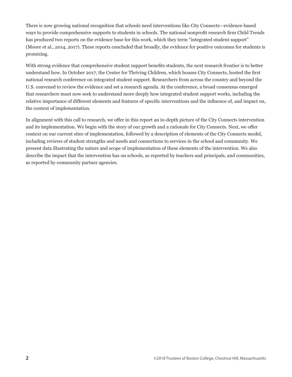There is now growing national recognition that schools need interventions like City Connects—evidence-based ways to provide comprehensive supports to students in schools. The national nonprofit research firm Child Trends has produced two reports on the evidence base for this work, which they term "integrated student support" (Moore et al., 2014, 2017). These reports concluded that broadly, the evidence for positive outcomes for students is promising.

With strong evidence that comprehensive student support benefits students, the next research frontier is to better understand how. In October 2017, the Center for Thriving Children, which houses City Connects, hosted the first national research conference on integrated student support. Researchers from across the country and beyond the U.S. convened to review the evidence and set a research agenda. At the conference, a broad consensus emerged that researchers must now seek to understand more deeply how integrated student support works, including the relative importance of different elements and features of specific interventions and the influence of, and impact on, the context of implementation.

In alignment with this call to research, we offer in this report an in-depth picture of the City Connects intervention and its implementation. We begin with the story of our growth and a rationale for City Connects. Next, we offer context on our current sites of implementation, followed by a description of elements of the City Connects model, including reviews of student strengths and needs and connections to services in the school and community. We present data illustrating the nature and scope of implementation of these elements of the intervention. We also describe the impact that the intervention has on schools, as reported by teachers and principals, and communities, as reported by community partner agencies.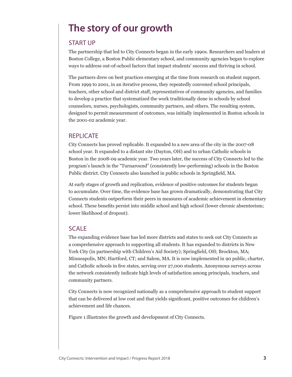# **The story of our growth**

### START UP

The partnership that led to City Connects began in the early 1990s. Researchers and leaders at Boston College, a Boston Public elementary school, and community agencies began to explore ways to address out-of-school factors that impact students' success and thriving in school.

The partners drew on best practices emerging at the time from research on student support. From 1999 to 2001, in an iterative process, they repeatedly convened school principals, teachers, other school and district staff, representatives of community agencies, and families to develop a practice that systematized the work traditionally done in schools by school counselors, nurses, psychologists, community partners, and others. The resulting system, designed to permit measurement of outcomes, was initially implemented in Boston schools in the 2001-02 academic year.

### **REPLICATE**

City Connects has proved replicable. It expanded to a new area of the city in the 2007-08 school year. It expanded to a distant site (Dayton, OH) and to urban Catholic schools in Boston in the 2008-09 academic year. Two years later, the success of City Connects led to the program's launch in the "Turnaround" (consistently low-performing) schools in the Boston Public district. City Connects also launched in public schools in Springfield, MA.

At early stages of growth and replication, evidence of positive outcomes for students began to accumulate. Over time, the evidence base has grown dramatically, demonstrating that City Connects students outperform their peers in measures of academic achievement in elementary school. These benefits persist into middle school and high school (lower chronic absenteeism; lower likelihood of dropout).

## SCALE

The expanding evidence base has led more districts and states to seek out City Connects as a comprehensive approach to supporting all students. It has expanded to districts in New York City (in partnership with Children's Aid Society); Springfield, OH; Brockton, MA; Minneapolis, MN; Hartford, CT; and Salem, MA. It is now implemented in 90 public, charter, and Catholic schools in five states, serving over 27,000 students. Anonymous surveys across the network consistently indicate high levels of satisfaction among principals, teachers, and community partners.

City Connects is now recognized nationally as a comprehensive approach to student support that can be delivered at low cost and that yields significant, positive outcomes for children's achievement and life chances.

Figure 1 illustrates the growth and development of City Connects.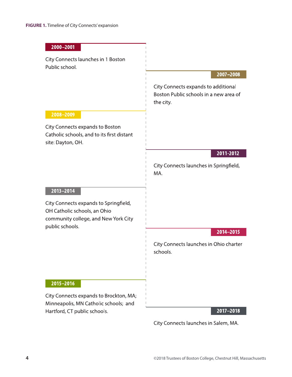| 2000-2001                                                                                                                        |                                                                                            |
|----------------------------------------------------------------------------------------------------------------------------------|--------------------------------------------------------------------------------------------|
| City Connects launches in 1 Boston<br>Public school.                                                                             |                                                                                            |
|                                                                                                                                  | 2007-2008                                                                                  |
|                                                                                                                                  | City Connects expands to additional<br>Boston Public schools in a new area of<br>the city. |
| 2008-2009                                                                                                                        |                                                                                            |
| City Connects expands to Boston<br>Catholic schools, and to its first distant<br>site: Dayton, OH.                               |                                                                                            |
|                                                                                                                                  | 2011-2012                                                                                  |
|                                                                                                                                  | City Connects launches in Springfield,<br>MA.                                              |
| 2013-2014                                                                                                                        |                                                                                            |
| City Connects expands to Springfield,<br>OH Catholic schools, an Ohio<br>community college, and New York City<br>public schools. |                                                                                            |
|                                                                                                                                  | 2014-2015                                                                                  |
|                                                                                                                                  | City Connects launches in Ohio charter<br>schools.                                         |
|                                                                                                                                  |                                                                                            |
| 2015-2016                                                                                                                        |                                                                                            |
| City Connects expands to Brockton, MA;<br>Minneapolis, MN Catholic schools; and                                                  |                                                                                            |
| Hartford, CT public schools.                                                                                                     | 2017-2018                                                                                  |

City Connects launches in Salem, MA.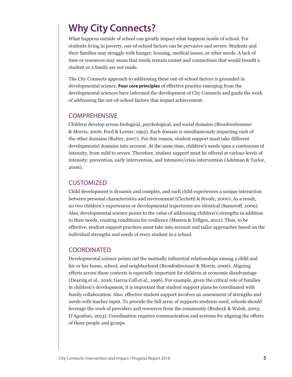# **Why City Connects?**

What happens outside of school can greatly impact what happens inside of school. For students living in poverty, out-of-school factors can be pervasive and severe. Students and their families may struggle with hunger, housing, medical issues, or other needs. A lack of time or resources may mean that needs remain unmet and connections that would benefit a student or a family are not made.

The City Connects approach to addressing these out-of-school factors is grounded in developmental science. **Four core principles** of effective practice emerging from the developmental sciences have informed the development of City Connects and guide the work of addressing the out-of-school factors that impact achievement.

### **COMPREHENSIVE**

Children develop across biological, psychological, and social domains (Bronfrenbrenner & Morris, 2006; Ford & Lerner, 1992). Each domain is simultaneously impacting each of the other domains (Rutter, 2007). For this reason, student support must take different developmental domains into account. At the same time, children's needs span a continuum of intensity, from mild to severe. Therefore, student support must be offered at various levels of intensity: prevention, early intervention, and intensive/crisis intervention (Adelman & Taylor, 2006).

### **CUSTOMIZED**

Child development is dynamic and complex, and each child experiences a unique interaction between personal characteristics and environment (Cicchetti & Sroufe, 2000). As a result, no two children's experiences or developmental trajectories are identical (Sameroff, 2009). Also, developmental science points to the value of addressing children's strengths in addition to their needs, creating conditions for resilience (Masten & Tellgen, 2012). Thus, to be effective, student support practices must take into account and tailor approaches based on the individual strengths and needs of every student in a school.

### COORDINATED

Developmental science points out the mutually influential relationships among a child and his or her home, school, and neighborhood (Bronfenbrenner & Morris, 2006). Aligning efforts across these contexts is especially important for children at economic disadvantage (Dearing et al., 2016; Garcıa Coll et al., 1996). For example, given the critical role of families in children's development, it is important that student support plans be coordinated with family collaboration. Also, effective student support involves an assessment of strengths and needs with teacher input. To provide the full array of supports students need, schools should leverage the work of providers and resources from the community (Brabeck & Walsh, 2003; D'Agostino, 2013). Coordination requires communication and systems for aligning the efforts of these people and groups.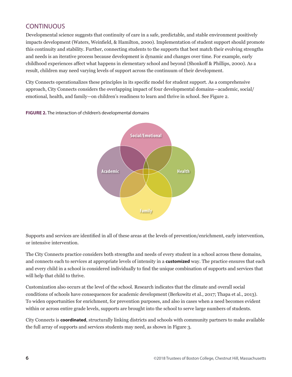## **CONTINUOUS**

Developmental science suggests that continuity of care in a safe, predictable, and stable environment positively impacts development (Waters, Weinfield, & Hamilton, 2000). Implementation of student support should promote this continuity and stability. Further, connecting students to the supports that best match their evolving strengths and needs is an iterative process because development is dynamic and changes over time. For example, early childhood experiences affect what happens in elementary school and beyond (Shonkoff & Phillips, 2000). As a result, children may need varying levels of support across the continuum of their development.

City Connects operationalizes these principles in its specific model for student support. As a comprehensive approach, City Connects considers the overlapping impact of four developmental domains—academic, social/ emotional, health, and family—on children's readiness to learn and thrive in school. See Figure 2.



**FIGURE 2.** The interaction of children's developmental domains

Supports and services are identified in all of these areas at the levels of prevention/enrichment, early intervention, or intensive intervention.

**Family**

The City Connects practice considers both strengths and needs of every student in a school across these domains, and connects each to services at appropriate levels of intensity in a **customized** way. The practice ensures that each and every child in a school is considered individually to find the unique combination of supports and services that will help that child to thrive.

Customization also occurs at the level of the school. Research indicates that the climate and overall social conditions of schools have consequences for academic development (Berkowitz et al., 2017; Thapa et al., 2013). To widen opportunities for enrichment, for prevention purposes, and also in cases when a need becomes evident within or across entire grade levels, supports are brought into the school to serve large numbers of students.

City Connects is **coordinated**, structurally linking districts and schools with community partners to make available the full array of supports and services students may need, as shown in Figure 3.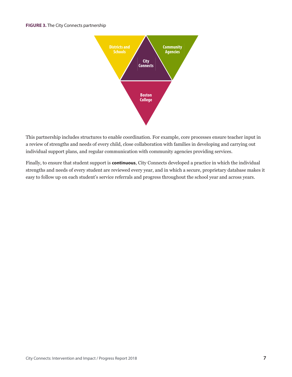#### **FIGURE 3.** The City Connects partnership



This partnership includes structures to enable coordination. For example, core processes ensure teacher input in a review of strengths and needs of every child, close collaboration with families in developing and carrying out individual support plans, and regular communication with community agencies providing services.

Finally, to ensure that student support is **continuous**, City Connects developed a practice in which the individual strengths and needs of every student are reviewed every year, and in which a secure, proprietary database makes it easy to follow up on each student's service referrals and progress throughout the school year and across years.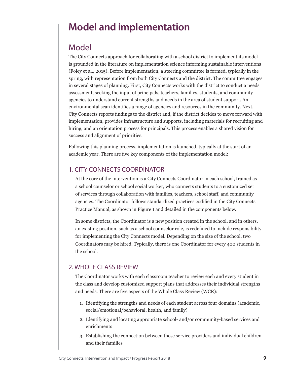# **Model and implementation**

# Model

The City Connects approach for collaborating with a school district to implement its model is grounded in the literature on implementation science informing sustainable interventions (Foley et al., 2015). Before implementation, a steering committee is formed, typically in the spring, with representation from both City Connects and the district. The committee engages in several stages of planning. First, City Connects works with the district to conduct a needs assessment, seeking the input of principals, teachers, families, students, and community agencies to understand current strengths and needs in the area of student support. An environmental scan identifies a range of agencies and resources in the community. Next, City Connects reports findings to the district and, if the district decides to move forward with implementation, provides infrastructure and supports, including materials for recruiting and hiring, and an orientation process for principals. This process enables a shared vision for success and alignment of priorities.

Following this planning process, implementation is launched, typically at the start of an academic year. There are five key components of the implementation model:

## 1. CITY CONNECTS COORDINATOR

At the core of the intervention is a City Connects Coordinator in each school, trained as a school counselor or school social worker, who connects students to a customized set of services through collaboration with families, teachers, school staff, and community agencies. The Coordinator follows standardized practices codified in the City Connects Practice Manual, as shown in Figure 1 and detailed in the components below.

In some districts, the Coordinator is a new position created in the school, and in others, an existing position, such as a school counselor role, is redefined to include responsibility for implementing the City Connects model. Depending on the size of the school, two Coordinators may be hired. Typically, there is one Coordinator for every 400 students in the school.

## 2. WHOLE CLASS REVIEW

The Coordinator works with each classroom teacher to review each and every student in the class and develop customized support plans that addresses their individual strengths and needs. There are five aspects of the Whole Class Review (WCR):

- 1. Identifying the strengths and needs of each student across four domains (academic, social/emotional/behavioral, health, and family)
- 2. Identifying and locating appropriate school- and/or community-based services and enrichments
- 3. Establishing the connection between these service providers and individual children and their families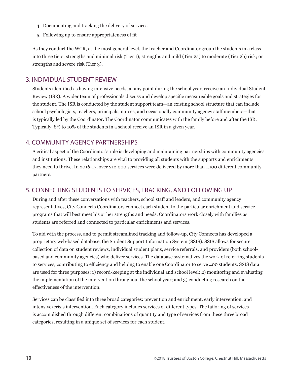- 4. Documenting and tracking the delivery of services
- 5. Following up to ensure appropriateness of fit

As they conduct the WCR, at the most general level, the teacher and Coordinator group the students in a class into three tiers: strengths and minimal risk (Tier 1); strengths and mild (Tier 2a) to moderate (Tier 2b) risk; or strengths and severe risk (Tier 3).

### 3. INDIVIDUAL STUDENT REVIEW

Students identified as having intensive needs, at any point during the school year, receive an Individual Student Review (ISR). A wider team of professionals discuss and develop specific measureable goals and strategies for the student. The ISR is conducted by the student support team—an existing school structure that can include school psychologists, teachers, principals, nurses, and occasionally community agency staff members—that is typically led by the Coordinator. The Coordinator communicates with the family before and after the ISR. Typically, 8% to 10% of the students in a school receive an ISR in a given year.

## 4. COMMUNITY AGENCY PARTNERSHIPS

A critical aspect of the Coordinator's role is developing and maintaining partnerships with community agencies and institutions. These relationships are vital to providing all students with the supports and enrichments they need to thrive. In 2016-17, over 212,000 services were delivered by more than 1,100 different community partners.

## 5. CONNECTING STUDENTS TO SERVICES, TRACKING, AND FOLLOWING UP

During and after these conversations with teachers, school staff and leaders, and community agency representatives, City Connects Coordinators connect each student to the particular enrichment and service programs that will best meet his or her strengths and needs. Coordinators work closely with families as students are referred and connected to particular enrichments and services.

To aid with the process, and to permit streamlined tracking and follow-up, City Connects has developed a proprietary web-based database, the Student Support Information System (SSIS). SSIS allows for secure collection of data on student reviews, individual student plans, service referrals, and providers (both schoolbased and community agencies) who deliver services. The database systematizes the work of referring students to services, contributing to efficiency and helping to enable one Coordinator to serve 400 students. SSIS data are used for three purposes: 1) record-keeping at the individual and school level; 2) monitoring and evaluating the implementation of the intervention throughout the school year; and 3) conducting research on the effectiveness of the intervention.

Services can be classified into three broad categories: prevention and enrichment, early intervention, and intensive/crisis intervention. Each category includes services of different types. The tailoring of services is accomplished through different combinations of quantity and type of services from these three broad categories, resulting in a unique set of services for each student.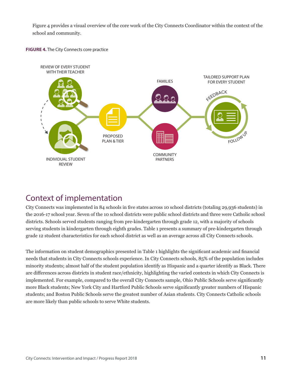Figure 4 provides a visual overview of the core work of the City Connects Coordinator within the context of the school and community.





# Context of implementation

City Connects was implemented in 84 schools in five states across 10 school districts (totaling 29,936 students) in the 2016-17 school year. Seven of the 10 school districts were public school districts and three were Catholic school districts. Schools served students ranging from pre-kindergarten through grade 12, with a majority of schools serving students in kindergarten through eighth grades. Table 1 presents a summary of pre-kindergarten through grade 12 student characteristics for each school district as well as an average across all City Connects schools.

The information on student demographics presented in Table 1 highlights the significant academic and financial needs that students in City Connects schools experience. In City Connects schools, 85% of the population includes minority students; almost half of the student population identify as Hispanic and a quarter identify as Black. There are differences across districts in student race/ethnicity, highlighting the varied contexts in which City Connects is implemented. For example, compared to the overall City Connects sample, Ohio Public Schools serve significantly more Black students; New York City and Hartford Public Schools serve significantly greater numbers of Hispanic students; and Boston Public Schools serve the greatest number of Asian students. City Connects Catholic schools are more likely than public schools to serve White students.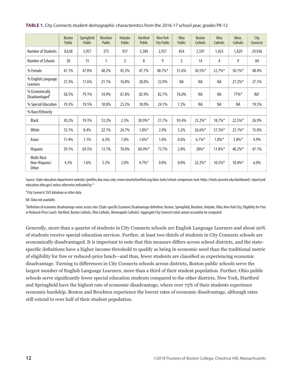|                                              | <b>Boston</b><br>Public | Springfield<br>Public | <b>Brockton</b><br>Public | Holyoke<br>Public | <b>Hartford</b><br><b>Public</b> | New York<br><b>City Public</b> | <b>Ohio</b><br>Public | <b>Boston</b><br>Catholic | <b>Ohio</b><br>Catholic | Minn.<br>Catholic | City<br>Connects |
|----------------------------------------------|-------------------------|-----------------------|---------------------------|-------------------|----------------------------------|--------------------------------|-----------------------|---------------------------|-------------------------|-------------------|------------------|
| <b>Number of Students</b>                    | 8,638                   | 5,957                 | 375                       | 937               | 3,389                            | 2,937                          | 854                   | 3,597                     | 1,423                   | 1,829             | 29,936           |
| Number of Schools                            | 20                      | 15                    | 1                         | $\overline{2}$    | 8                                | 9                              | $\overline{2}$        | 14                        | $\overline{4}$          | 9                 | 84               |
| % Female                                     | 47.1%                   | 47.8%                 | 48.2%                     | 45.3%             | 47.7%                            | 48.7%*                         | 51.6%                 | 50.5%*                    | 52.7%*                  | 50.1%*            | 48.4%            |
| % English Language<br>Learners               | 37.3%                   | 17.6%                 | 21.1%                     | 16.8%             | 28.0%                            | 22.9%                          | NA                    | NA                        | NA                      | 27.2%*            | 27.5%            |
| % Economically<br>Disadvantaged <sup>1</sup> | 58.5%                   | 79.1%                 | 54.9%                     | 67.8%             | 82.9%                            | 82.7%                          | 76.0%                 | NA                        | NA                      | 77%*              | NA <sup>1</sup>  |
| % Special Education                          | 19.3%                   | 19.5%                 | 18.8%                     | 23.2%             | 18.0%                            | 24.1%                          | 7.2%                  | <b>NA</b>                 | <b>NA</b>               | NA                | 19.5%            |
| % Race/Ethnicity                             |                         |                       |                           |                   |                                  |                                |                       |                           |                         |                   |                  |
| Black                                        | 30.2%                   | 19.3%                 | 53.2%                     | 2.3%              | 30.9%*                           | 21.7%                          | 93.4%                 | 25.2%*                    | $18.7\%$ *              | 22.5%*            | 26.9%            |
| White                                        | 15.1%                   | 8.4%                  | 22.1%                     | 24.7%             | $1.8\%$ *                        | 2.9%                           | 3.2%                  | $26.6\%$ *                | 57.3%*                  | $23.1\%$ *        | 15.0%            |
| Asian                                        | 11.4%                   | 1.1%                  | 6.3%                      | 1.0%              | $1.6\%*$                         | 1.0%                           | $0.0\%$               | $6.1\%$ *                 | $1.8\%$ *               | $3.8\%*$          | 4.9%             |
| Hispanic                                     | 39.1%                   | 69.5%                 | 13.1%                     | 70.0%             | 60.9%*                           | 73.7%                          | 2.0%                  | $20\%*$                   | $11.8\%$ *              | 40.2%*            | 47.1%            |
| Multi-Race<br>Non-Hispanic/<br><b>Other</b>  | 4.3%                    | 1.6%                  | 5.2%                      | 2.0%              | $4.7\%$ *                        | 0.0%                           | 0.0%                  | 22.2%*                    | $10.5\%$ *              | 10.4%*            | 6.0%             |

**TABLE 1.** City Connects student demographic characteristics from the 2016-17 school year, grades PK-12

Source: State education department websites (profiles.doe.mass.edu; www.smarterhartford.org/data-tools/school-comparison-tool; https://tools.nycenet.edu/dashboard/; reportcard. education.ohio.gov) unless otherwise indicated by \*

\*City Connects SSIS database or other data

NA: Data not available.

<sup>1</sup>Definition of economic disadvantage varies across sites (State-specific Economic Disadvantage definition: Boston, Springfield, Brockton, Holyoke, Ohio, New York City; Eligibility for Free or Reduced-Price Lunch: Hartford, Boston Catholic, Ohio Catholic, Minneapolis Catholic). Aggregate City Connects total cannot accurately be computed.

Generally, more than a quarter of students in City Connects schools are English Language Learners and about 20% of students receive special education services. Further, at least two-thirds of students in City Connects schools are economically disadvantaged. It is important to note that this measure differs across school districts, and the statespecific definitions have a higher income threshold to qualify as being in economic need than the traditional metric of eligibility for free or reduced-price lunch—and thus, fewer students are classified as experiencing economic disadvantage. Turning to differences in City Connects schools across districts, Boston public schools serve the largest number of English Language Learners, more than a third of their student population. Further, Ohio public schools serve significantly fewer special education students compared to the other districts. New York, Hartford and Springfield have the highest rate of economic disadvantage, where over 75% of their students experience economic hardship. Boston and Brockton experience the lowest rates of economic disadvantage, although rates still extend to over half of their student population.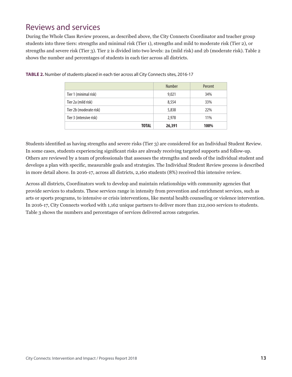# Reviews and services

During the Whole Class Review process, as described above, the City Connects Coordinator and teacher group students into three tiers: strengths and minimal risk (Tier 1), strengths and mild to moderate risk (Tier 2), or strengths and severe risk (Tier 3). Tier 2 is divided into two levels: 2a (mild risk) and 2b (moderate risk). Table 2 shows the number and percentages of students in each tier across all districts.

|                         | <b>Number</b> | Percent |
|-------------------------|---------------|---------|
| Tier 1 (minimal risk)   | 9,021         | 34%     |
| Tier 2a (mild risk)     | 8,554         | 33%     |
| Tier 2b (moderate risk) | 5,838         | 22%     |
| Tier 3 (intensive risk) | 2,978         | 11%     |
| <b>TOTAL</b>            | 26,391        | 100%    |

**TABLE 2.** Number of students placed in each tier across all City Connects sites, 2016-17

Students identified as having strengths and severe risks (Tier 3) are considered for an Individual Student Review. In some cases, students experiencing significant risks are already receiving targeted supports and follow-up. Others are reviewed by a team of professionals that assesses the strengths and needs of the individual student and develops a plan with specific, measurable goals and strategies. The Individual Student Review process is described in more detail above. In 2016-17, across all districts, 2,160 students (8%) received this intensive review.

Across all districts, Coordinators work to develop and maintain relationships with community agencies that provide services to students. These services range in intensity from prevention and enrichment services, such as arts or sports programs, to intensive or crisis interventions, like mental health counseling or violence intervention. In 2016-17, City Connects worked with 1,162 unique partners to deliver more than 212,000 services to students. Table 3 shows the numbers and percentages of services delivered across categories.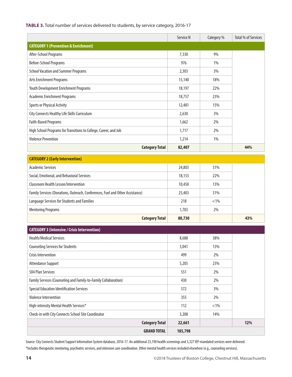### **TABLE 3.** Total number of services delivered to students, by service category, 2016-17

|                                                                  | Service N | Category % | Total % of Services |
|------------------------------------------------------------------|-----------|------------|---------------------|
| <b>CATEGORY 1 (Prevention &amp; Enrichment)</b>                  |           |            |                     |
| After-School Programs                                            | 7,330     | 9%         |                     |
| Before-School Programs                                           | 976       | 1%         |                     |
| <b>School Vacation and Summer Programs</b>                       | 2,303     | 3%         |                     |
| <b>Arts Enrichment Programs</b>                                  | 15,140    | 18%        |                     |
| Youth Development Enrichment Programs                            | 18,197    | 22%        |                     |
| <b>Academic Enrichment Programs</b>                              | 18,757    | 23%        |                     |
| <b>Sports or Physical Activity</b>                               | 12,481    | 15%        |                     |
| City Connects Healthy Life Skills Curriculum                     | 2,630     | 3%         |                     |
| <b>Faith-Based Programs</b>                                      | 1,662     | 2%         |                     |
| High School Programs for Transitions to College, Career, and Job | 1,717     | 2%         |                     |
| <b>Violence Prevention</b>                                       | 1,214     | 1%         |                     |
| <b>Category Total</b>                                            | 82,407    |            | 44%                 |

| <b>CATEGORY 2 (Early Intervention)</b>                                        |        |         |     |
|-------------------------------------------------------------------------------|--------|---------|-----|
| Academic Services                                                             | 24,803 | 31%     |     |
| Social, Emotional, and Behavioral Services                                    | 18,153 | 22%     |     |
| <b>Classroom Health Lesson/Intervention</b>                                   | 10,450 | 13%     |     |
| Family Services (Donations, Outreach, Conferences, Fuel and Other Assistance) | 25,403 | 31%     |     |
| Language Services for Students and Families                                   | 218    | $< 1\%$ |     |
| <b>Mentoring Programs</b>                                                     | 1,703  | 2%      |     |
| <b>Category Total</b>                                                         | 80,730 |         | 43% |

| <b>CATEGORY 3 (Intensive / Crisis Intervention)</b>             |         |        |  |
|-----------------------------------------------------------------|---------|--------|--|
| <b>Health/Medical Services</b>                                  | 8,688   | 38%    |  |
| <b>Counseling Services for Students</b>                         | 3,041   | 13%    |  |
| Crisis Intervention                                             | 499     | 2%     |  |
| Attendance Support                                              | 5,205   | 23%    |  |
| 504 Plan Services                                               | 551     | 2%     |  |
| Family Services (Counseling and Family-to-Family Collaboration) | 430     | 2%     |  |
| <b>Special Education Identification Services</b>                | 572     | 3%     |  |
| <b>Violence Intervention</b>                                    | 355     | 2%     |  |
| High-intensity Mental Health Services*                          | 112     | $<1\%$ |  |
| Check-in with City Connects School Site Coordinator             | 3,208   | 14%    |  |
| <b>Category Total</b>                                           | 22,661  |        |  |
| <b>GRAND TOTAL</b>                                              | 185,798 |        |  |

Source: City Connects Student Support Information System database, 2016-17. An additional 23,190 health screenings and 3,327 IEP-mandated services were delivered. \*Includes therapeutic mentoring, psychiatric services, and intensive care coordination. Other mental health services included elsewhere (e.g., counseling services).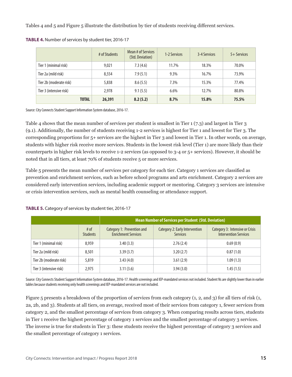Tables 4 and 5 and Figure 5 illustrate the distribution by tier of students receiving different services.

|                         | # of Students | Mean # of Services<br>(Std. Deviation) | 1-2 Services | 3-4 Services | 5+ Services |
|-------------------------|---------------|----------------------------------------|--------------|--------------|-------------|
| Tier 1 (minimal risk)   | 9,021         | 7.3(4.6)                               | 11.7%        | 18.3%        | 70.0%       |
| Tier 2a (mild risk)     | 8,554         | 7.9(5.1)                               | 9.3%         | 16.7%        | 73.9%       |
| Tier 2b (moderate risk) | 5,838         | 8.6(5.5)                               | 7.3%         | 15.3%        | 77.4%       |
| Tier 3 (intensive risk) | 2.978         | 9.1(5.5)                               | 6.6%         | 12.7%        | 80.8%       |
| <b>TOTAL</b>            | 26,391        | 8.2(5.2)                               | 8.7%         | 15.8%        | 75.5%       |

**TABLE 4.** Number of services by student tier, 2016-17

Source: City Connects Student Support Information System database, 2016-17.

Table 4 shows that the mean number of services per student is smallest in Tier 1 (7.3) and largest in Tier 3 (9.1). Additionally, the number of students receiving 1-2 services is highest for Tier 1 and lowest for Tier 3. The corresponding proportions for 5+ services are the highest in Tier 3 and lowest in Tier 1. In other words, on average, students with higher risk receive more services. Students in the lowest risk level (Tier 1) are more likely than their counterparts in higher risk levels to receive 1-2 services (as opposed to 3-4 or 5+ services). However, it should be noted that in all tiers, at least 70% of students receive 5 or more services.

Table 5 presents the mean number of services per category for each tier. Category 1 services are classified as prevention and enrichment services, such as before school programs and arts enrichment. Category 2 services are considered early intervention services, including academic support or mentoring. Category 3 services are intensive or crisis intervention services, such as mental health counseling or attendance support.

|                         |                         | <b>Mean Number of Services per Student (Std. Deviation)</b> |                                                   |                                                                 |  |
|-------------------------|-------------------------|-------------------------------------------------------------|---------------------------------------------------|-----------------------------------------------------------------|--|
|                         | # of<br><b>Students</b> | Category 1: Prevention and<br><b>Enrichment Services</b>    | Category 2: Early Intervention<br><b>Services</b> | Category 3: Intensive or Crisis<br><b>Intervention Services</b> |  |
| Tier 1 (minimal risk)   | 8.959                   | 3.40(3.3)                                                   | 2.76(2.4)                                         | 0.69(0.9)                                                       |  |
| Tier 2a (mild risk)     | 8,501                   | 3.39(3.7)                                                   | 3.20(2.7)                                         | 0.87(1.0)                                                       |  |
| Tier 2b (moderate risk) | 5,819                   | 3.43(4.0)                                                   | 3.61(2.9)                                         | 1.09(1.3)                                                       |  |
| Tier 3 (intensive risk) | 2,975                   | 3.11(3.6)                                                   | 3.94(3.0)                                         | 1.45(1.5)                                                       |  |

**TABLE 5.** Category of services by student tier, 2016-17

Source: City Connects Student Support Information System database, 2016-17. Health screenings and IEP-mandated services not included. Student Ns are slightly lower than in earlier tables because students receiving only health screenings and IEP-mandated services are not included.

Figure 5 presents a breakdown of the proportion of services from each category (1, 2, and 3) for all tiers of risk (1, 2a, 2b, and 3). Students at all tiers, on average, received most of their services from category 1, fewer services from category 2, and the smallest percentage of services from category 3. When comparing results across tiers, students in Tier 1 receive the highest percentage of category 1 services and the smallest percentage of category 3 services. The inverse is true for students in Tier 3: these students receive the highest percentage of category 3 services and the smallest percentage of category 1 services.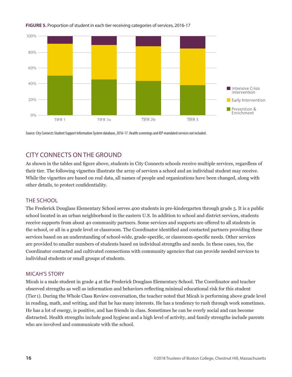

### **FIGURE 5.** Proportion of student in each tier receiving categories of services, 2016-17

Source: City Connects Student Support Information System database, 2016-17. Health screenings and IEP-mandated services not included.

## CITY CONNECTS ON THE GROUND

As shown in the tables and figure above, students in City Connects schools receive multiple services, regardless of their tier. The following vignettes illustrate the array of services a school and an individual student may receive. While the vignettes are based on real data, all names of people and organizations have been changed, along with other details, to protect confidentiality.

### THE SCHOOL

The Frederick Douglass Elementary School serves 400 students in pre-kindergarten through grade 5. It is a public school located in an urban neighborhood in the eastern U.S. In addition to school and district services, students receive supports from about 40 community partners. Some services and supports are offered to all students in the school, or all in a grade level or classroom. The Coordinator identified and contacted partners providing these services based on an understanding of school-wide, grade-specific, or classroom-specific needs. Other services are provided to smaller numbers of students based on individual strengths and needs. In these cases, too, the Coordinator contacted and cultivated connections with community agencies that can provide needed services to individual students or small groups of students.

### MICAH'S STORY

Micah is a male student in grade 4 at the Frederick Douglass Elementary School. The Coordinator and teacher observed strengths as well as information and behaviors reflecting minimal educational risk for this student (Tier 1). During the Whole Class Review conversation, the teacher noted that Micah is performing above grade level in reading, math, and writing, and that he has many interests. He has a tendency to rush through work sometimes. He has a lot of energy, is positive, and has friends in class. Sometimes he can be overly social and can become distracted. Health strengths include good hygiene and a high level of activity, and family strengths include parents who are involved and communicate with the school.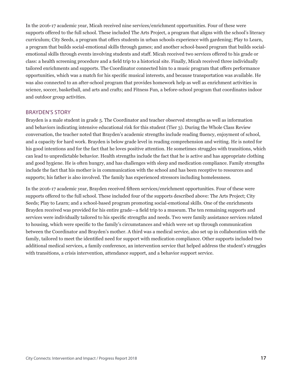In the 2016-17 academic year, Micah received nine services/enrichment opportunities. Four of these were supports offered to the full school. These included The Arts Project, a program that aligns with the school's literacy curriculum; City Seeds, a program that offers students in urban schools experience with gardening; Play to Learn, a program that builds social-emotional skills through games; and another school-based program that builds socialemotional skills through events involving students and staff. Micah received two services offered to his grade or class: a health screening procedure and a field trip to a historical site. Finally, Micah received three individually tailored enrichments and supports. The Coordinator connected him to a music program that offers performance opportunities, which was a match for his specific musical interests, and because transportation was available. He was also connected to an after-school program that provides homework help as well as enrichment activities in science, soccer, basketball, and arts and crafts; and Fitness Fun, a before-school program that coordinates indoor and outdoor group activities.

#### BRAYDEN'S STORY

Brayden is a male student in grade 5. The Coordinator and teacher observed strengths as well as information and behaviors indicating intensive educational risk for this student (Tier 3). During the Whole Class Review conversation, the teacher noted that Brayden's academic strengths include reading fluency, enjoyment of school, and a capacity for hard work. Brayden is below grade level in reading comprehension and writing. He is noted for his good intentions and for the fact that he loves positive attention. He sometimes struggles with transitions, which can lead to unpredictable behavior. Health strengths include the fact that he is active and has appropriate clothing and good hygiene. He is often hungry, and has challenges with sleep and medication compliance. Family strengths include the fact that his mother is in communication with the school and has been receptive to resources and supports; his father is also involved. The family has experienced stressors including homelessness.

In the 2016-17 academic year, Brayden received fifteen services/enrichment opportunities. Four of these were supports offered to the full school. These included four of the supports described above: The Arts Project; City Seeds; Play to Learn; and a school-based program promoting social-emotional skills. One of the enrichments Brayden received was provided for his entire grade—a field trip to a museum. The ten remaining supports and services were individually tailored to his specific strengths and needs. Two were family assistance services related to housing, which were specific to the family's circumstances and which were set up through communication between the Coordinator and Brayden's mother. A third was a medical service, also set up in collaboration with the family, tailored to meet the identified need for support with medication compliance. Other supports included two additional medical services, a family conference, an intervention service that helped address the student's struggles with transitions, a crisis intervention, attendance support, and a behavior support service.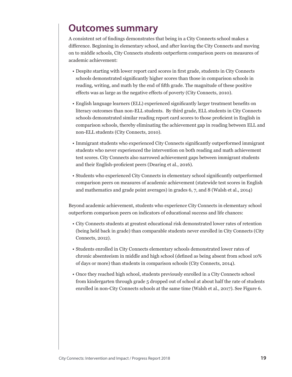# **Outcomes summary**

A consistent set of findings demonstrates that being in a City Connects school makes a difference. Beginning in elementary school, and after leaving the City Connects and moving on to middle schools, City Connects students outperform comparison peers on measures of academic achievement:

- Despite starting with lower report card scores in first grade, students in City Connects schools demonstrated significantly higher scores than those in comparison schools in reading, writing, and math by the end of fifth grade. The magnitude of these positive effects was as large as the negative effects of poverty (City Connects, 2010).
- English language learners (ELL) experienced significantly larger treatment benefits on literacy outcomes than non-ELL students. By third grade, ELL students in City Connects schools demonstrated similar reading report card scores to those proficient in English in comparison schools, thereby eliminating the achievement gap in reading between ELL and non-ELL students (City Connects, 2010).
- Immigrant students who experienced City Connects significantly outperformed immigrant students who never experienced the intervention on both reading and math achievement test scores. City Connects also narrowed achievement gaps between immigrant students and their English-proficient peers (Dearing et al., 2016).
- Students who experienced City Connects in elementary school significantly outperformed comparison peers on measures of academic achievement (statewide test scores in English and mathematics and grade point averages) in grades 6, 7, and 8 (Walsh et al., 2014)

Beyond academic achievement, students who experience City Connects in elementary school outperform comparison peers on indicators of educational success and life chances:

- City Connects students at greatest educational risk demonstrated lower rates of retention (being held back in grade) than comparable students never enrolled in City Connects (City Connects, 2012).
- Students enrolled in City Connects elementary schools demonstrated lower rates of chronic absenteeism in middle and high school (defined as being absent from school 10% of days or more) than students in comparison schools (City Connects, 2014).
- Once they reached high school, students previously enrolled in a City Connects school from kindergarten through grade 5 dropped out of school at about half the rate of students enrolled in non-City Connects schools at the same time (Walsh et al., 2017). See Figure 6.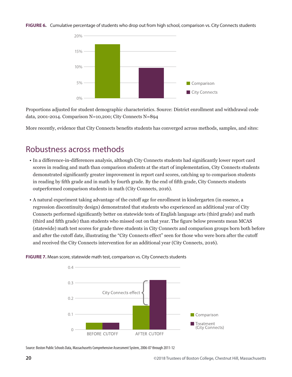**FIGURE 6.** Cumulative percentage of students who drop out from high school, comparison vs. City Connects students



Proportions adjusted for student demographic characteristics. Source: District enrollment and withdrawal code data, 2001-2014. Comparison N=10,200; City Connects N=894

More recently, evidence that City Connects benefits students has converged across methods, samples, and sites:

# Robustness across methods

- In a difference-in-differences analysis, although City Connects students had significantly lower report card scores in reading and math than comparison students at the start of implementation, City Connects students demonstrated significantly greater improvement in report card scores, catching up to comparison students in reading by fifth grade and in math by fourth grade. By the end of fifth grade, City Connects students outperformed comparison students in math (City Connects, 2016).
- A natural experiment taking advantage of the cutoff age for enrollment in kindergarten (in essence, a regression discontinuity design) demonstrated that students who experienced an additional year of City Connects performed significantly better on statewide tests of English language arts (third grade) and math (third and fifth grade) than students who missed out on that year. The figure below presents mean MCAS (statewide) math test scores for grade three students in City Connects and comparison groups born both before and after the cutoff date, illustrating the "City Connects effect" seen for those who were born after the cutoff and received the City Connects intervention for an additional year (City Connects, 2016).



**FIGURE 7.** Mean score, statewide math test, comparison vs. City Connects students

Source: Boston Public Schools Data, Massachusetts Comprehensive Assessment System, 2006-07 through 2011-12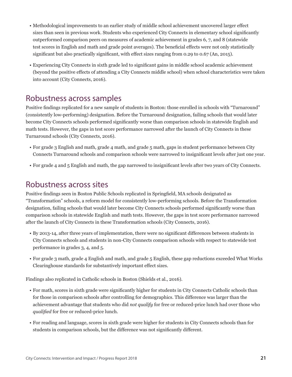- Methodological improvements to an earlier study of middle school achievement uncovered larger effect sizes than seen in previous work. Students who experienced City Connects in elementary school significantly outperformed comparison peers on measures of academic achievement in grades 6, 7, and 8 (statewide test scores in English and math and grade point averages). The beneficial effects were not only statistically significant but also practically significant, with effect sizes ranging from 0.29 to 0.67 (An, 2015).
- Experiencing City Connects in sixth grade led to significant gains in middle school academic achievement (beyond the positive effects of attending a City Connects middle school) when school characteristics were taken into account (City Connects, 2016).

## Robustness across samples

Positive findings replicated for a new sample of students in Boston: those enrolled in schools with "Turnaround" (consistently low-performing) designation. Before the Turnaround designation, failing schools that would later become City Connects schools performed significantly worse than comparison schools in statewide English and math tests. However, the gaps in test score performance narrowed after the launch of City Connects in these Turnaround schools (City Connects, 2016).

- For grade 3 English and math, grade 4 math, and grade 5 math, gaps in student performance between City Connects Turnaround schools and comparison schools were narrowed to insignificant levels after just one year.
- For grade 4 and 5 English and math, the gap narrowed to insignificant levels after two years of City Connects.

## Robustness across sites

Positive findings seen in Boston Public Schools replicated in Springfield, MA schools designated as "Transformation" schools, a reform model for consistently low-performing schools. Before the Transformation designation, failing schools that would later become City Connects schools performed significantly worse than comparison schools in statewide English and math tests. However, the gaps in test score performance narrowed after the launch of City Connects in these Transformation schools (City Connects, 2016).

- By 2013-14, after three years of implementation, there were no significant differences between students in City Connects schools and students in non-City Connects comparison schools with respect to statewide test performance in grades 3, 4, and 5.
- For grade 3 math, grade 4 English and math, and grade 5 English, these gap reductions exceeded What Works Clearinghouse standards for substantively important effect sizes.

Findings also replicated in Catholic schools in Boston (Shields et al., 2016).

- For math, scores in sixth grade were significantly higher for students in City Connects Catholic schools than for those in comparison schools after controlling for demographics. This difference was larger than the achievement advantage that students who did *not qualify* for free or reduced-price lunch had over those who *qualified* for free or reduced-price lunch.
- For reading and language, scores in sixth grade were higher for students in City Connects schools than for students in comparison schools, but the difference was not significantly different.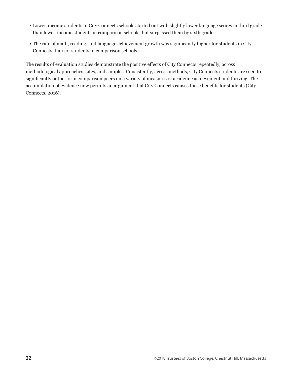- Lower-income students in City Connects schools started out with slightly lower language scores in third grade than lower-income students in comparison schools, but surpassed them by sixth grade.
- The rate of math, reading, and language achievement growth was significantly higher for students in City Connects than for students in comparison schools.

The results of evaluation studies demonstrate the positive effects of City Connects repeatedly, across methodological approaches, sites, and samples. Consistently, across methods, City Connects students are seen to significantly outperform comparison peers on a variety of measures of academic achievement and thriving. The accumulation of evidence now permits an argument that City Connects causes these benefits for students (City Connects, 2016).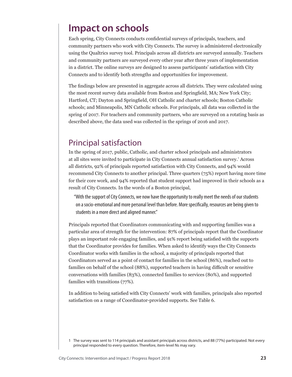# **Impact on schools**

Each spring, City Connects conducts confidential surveys of principals, teachers, and community partners who work with City Connects. The survey is administered electronically using the Qualtrics survey tool. Principals across all districts are surveyed annually. Teachers and community partners are surveyed every other year after three years of implementation in a district. The online surveys are designed to assess participants' satisfaction with City Connects and to identify both strengths and opportunities for improvement.

The findings below are presented in aggregate across all districts. They were calculated using the most recent survey data available from Boston and Springfield, MA; New York City; Hartford, CT; Dayton and Springfield, OH Catholic and charter schools; Boston Catholic schools; and Minneapolis, MN Catholic schools. For principals, all data was collected in the spring of 2017. For teachers and community partners, who are surveyed on a rotating basis as described above, the data used was collected in the springs of 2016 and 2017.

## Principal satisfaction

In the spring of 2017, public, Catholic, and charter school principals and administrators at all sites were invited to participate in City Connects annual satisfaction survey.<sup>1</sup> Across all districts, 92% of principals reported satisfaction with City Connects, and 94% would recommend City Connects to another principal. Three quarters (75%) report having more time for their core work, and 94% reported that student support had improved in their schools as a result of City Connects. In the words of a Boston principal,

"With the support of City Connects, we now have the opportunity to really meet the needs of our students on a socio-emotional and more personal level than before. More specifically, resources are being given to students in a more direct and aligned manner."

Principals reported that Coordinators communicating with and supporting families was a particular area of strength for the intervention: 87% of principals report that the Coordinator plays an important role engaging families, and 91% report being satisfied with the supports that the Coordinator provides for families. When asked to identify ways the City Connects Coordinator works with families in the school, a majority of principals reported that Coordinators served as a point of contact for families in the school (86%), reached out to families on behalf of the school (88%), supported teachers in having difficult or sensitive conversations with families (83%), connected families to services (80%), and supported families with transitions (77%).

In addition to being satisfied with City Connects' work with families, principals also reported satisfaction on a range of Coordinator-provided supports. See Table 6.

<sup>1</sup> The survey was sent to 114 principals and assistant principals across districts, and 88 (77%) participated. Not every principal responded to every question. Therefore, item-level Ns may vary.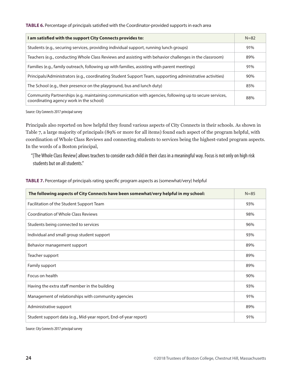**TABLE 6.** Percentage of principals satisfied with the Coordinator-provided supports in each area

| I am satisfied with the support City Connects provides to:                                                                                        | $N = 82$ |
|---------------------------------------------------------------------------------------------------------------------------------------------------|----------|
| Students (e.g., securing services, providing individual support, running lunch groups)                                                            | 91%      |
| Teachers (e.g., conducting Whole Class Reviews and assisting with behavior challenges in the classroom)                                           | 89%      |
| Families (e.g., family outreach, following up with families, assisting with parent meetings)                                                      | 91%      |
| Principals/Administrators (e.g., coordinating Student Support Team, supporting administrative activities)                                         | 90%      |
| The School (e.g., their presence on the playground, bus and lunch duty)                                                                           | 85%      |
| Community Partnerships (e.g. maintaining communication with agencies, following up to secure services,<br>coordinating agency work in the school) | 88%      |

Source: City Connects 2017 principal survey

Principals also reported on how helpful they found various aspects of City Connects in their schools. As shown in Table 7, a large majority of principals (89% or more for all items) found each aspect of the program helpful, with coordination of Whole Class Reviews and connecting students to services being the highest-rated program aspects. In the words of a Boston principal,

"[The Whole Class Review] allows teachers to consider each child in their class in a meaningful way. Focus is not only on high risk students but on all students."

**TABLE 7.** Percentage of principals rating specific program aspects as (somewhat/very) helpful

| The following aspects of City Connects have been somewhat/very helpful in my school: | $N = 85$ |
|--------------------------------------------------------------------------------------|----------|
| Facilitation of the Student Support Team                                             | 93%      |
| Coordination of Whole Class Reviews                                                  | 98%      |
| Students being connected to services                                                 | 96%      |
| Individual and small group student support                                           | 93%      |
| Behavior management support                                                          | 89%      |
| Teacher support                                                                      | 89%      |
| Family support                                                                       | 89%      |
| Focus on health                                                                      | 90%      |
| Having the extra staff member in the building                                        | 93%      |
| Management of relationships with community agencies                                  | 91%      |
| Administrative support                                                               | 89%      |
| Student support data (e.g., Mid-year report, End-of-year report)                     | 91%      |

Source: City Connects 2017 principal survey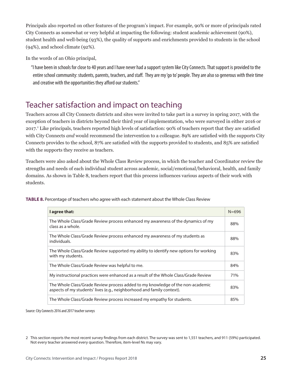Principals also reported on other features of the program's impact. For example, 90% or more of principals rated City Connects as somewhat or very helpful at impacting the following: student academic achievement (90%), student health and well-being (93%), the quality of supports and enrichments provided to students in the school (94%), and school climate (92%).

In the words of an Ohio principal,

"I have been in schools for close to 40 years and I have never had a support system like City Connects. That support is provided to the entire school community: students, parents, teachers, and staff. They are my 'go to' people. They are also so generous with their time and creative with the opportunities they afford our students."

# Teacher satisfaction and impact on teaching

Teachers across all City Connects districts and sites were invited to take part in a survey in spring 2017, with the exception of teachers in districts beyond their third year of implementation, who were surveyed in either 2016 or 2017.<sup>2</sup> Like principals, teachers reported high levels of satisfaction: 90% of teachers report that they are satisfied with City Connects *and* would recommend the intervention to a colleague. 89% are satisfied with the supports City Connects provides to the school, 87% are satisfied with the supports provided to students, and 85% are satisfied with the supports they receive as teachers.

Teachers were also asked about the Whole Class Review process, in which the teacher and Coordinator review the strengths and needs of each individual student across academic, social/emotional/behavioral, health, and family domains. As shown in Table 8, teachers report that this process influences various aspects of their work with students.

| I agree that:                                                                                                                                            | $N = 696$ |
|----------------------------------------------------------------------------------------------------------------------------------------------------------|-----------|
| The Whole Class/Grade Review process enhanced my awareness of the dynamics of my<br>class as a whole.                                                    | 88%       |
| The Whole Class/Grade Review process enhanced my awareness of my students as<br>individuals.                                                             | 88%       |
| The Whole Class/Grade Review supported my ability to identify new options for working<br>with my students.                                               | 83%       |
| The Whole Class/Grade Review was helpful to me.                                                                                                          | 84%       |
| My instructional practices were enhanced as a result of the Whole Class/Grade Review                                                                     | 71%       |
| The Whole Class/Grade Review process added to my knowledge of the non-academic<br>aspects of my students' lives (e.g., neighborhood and family context). | 83%       |
| The Whole Class/Grade Review process increased my empathy for students.                                                                                  | 85%       |

**TABLE 8.** Percentage of teachers who agree with each statement about the Whole Class Review

Source: City Connects 2016 and 2017 teacher surveys

<sup>2</sup> This section reports the most recent survey findings from each district. The survey was sent to 1,551 teachers, and 911 (59%) participated. Not every teacher answered every question. Therefore, item-level Ns may vary.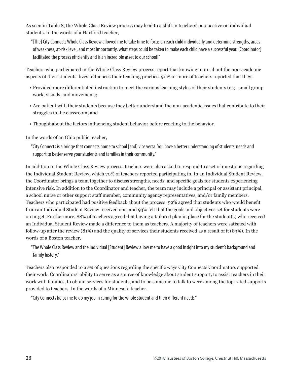As seen in Table 8, the Whole Class Review process may lead to a shift in teachers' perspective on individual students. In the words of a Hartford teacher,

"[The] City Connects Whole Class Review allowed me to take time to focus on each child individually and determine strengths, areas of weakness, at-risk level, and most importantly, what steps could be taken to make each child have a successful year. [Coordinator] facilitated the process efficiently and is an incredible asset to our school!"

Teachers who participated in the Whole Class Review process report that knowing more about the non-academic aspects of their students' lives influences their teaching practice. 90% or more of teachers reported that they:

- Provided more differentiated instruction to meet the various learning styles of their students (e.g., small group work, visuals, and movement);
- Are patient with their students because they better understand the non-academic issues that contribute to their struggles in the classroom; and
- Thought about the factors influencing student behavior before reacting to the behavior.

In the words of an Ohio public teacher,

"City Connects is a bridge that connects home to school [and] vice versa. You have a better understanding of students' needs and support to better serve your students and families in their community."

In addition to the Whole Class Review process, teachers were also asked to respond to a set of questions regarding the Individual Student Review, which 70% of teachers reported participating in. In an Individual Student Review, the Coordinator brings a team together to discuss strengths, needs, and specific goals for students experiencing intensive risk. In addition to the Coordinator and teacher, the team may include a principal or assistant principal, a school nurse or other support staff member, community agency representatives, and/or family members. Teachers who participated had positive feedback about the process: 92% agreed that students who would benefit from an Individual Student Review received one, and 93% felt that the goals and objectives set for students were on target. Furthermore, 88% of teachers agreed that having a tailored plan in place for the student(s) who received an Individual Student Review made a difference to them as teachers. A majority of teachers were satisfied with follow-up after the review (81%) and the quality of services their students received as a result of it (83%). In the words of a Boston teacher,

"The Whole Class Review and the Individual [Student] Review allow me to have a good insight into my student's background and family history."

Teachers also responded to a set of questions regarding the specific ways City Connects Coordinators supported their work. Coordinators' ability to serve as a source of knowledge about student support, to assist teachers in their work with families, to obtain services for students, and to be someone to talk to were among the top-rated supports provided to teachers. In the words of a Minnesota teacher,

"City Connects helps me to do my job in caring for the whole student and their different needs."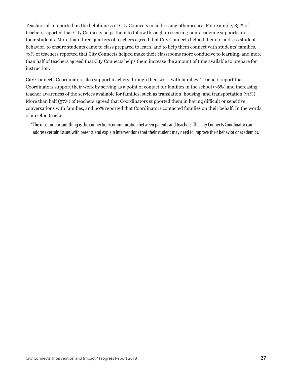Teachers also reported on the helpfulness of City Connects in addressing other issues. For example, 83% of teachers reported that City Connects helps them to follow through in securing non-academic supports for their students. More than three quarters of teachers agreed that City Connects helped them to address student behavior, to ensure students came to class prepared to learn, and to help them connect with students' families. 73% of teachers reported that City Connects helped make their classrooms more conducive to learning, and more than half of teachers agreed that City Connects helps them increase the amount of time available to prepare for instruction.

City Connects Coordinators also support teachers through their work with families. Teachers report that Coordinators support their work by serving as a point of contact for families in the school (76%) and increasing teacher awareness of the services available for families, such as translation, housing, and transportation (71%). More than half (57%) of teachers agreed that Coordinators supported them in having difficult or sensitive conversations with families, and 60% reported that Coordinators contacted families on their behalf. In the words of an Ohio teacher,

"The most important thing is the connection/communication between parents and teachers. The City Connects Coordinator can address certain issues with parents and explain interventions that their student may need to improve their behavior or academics."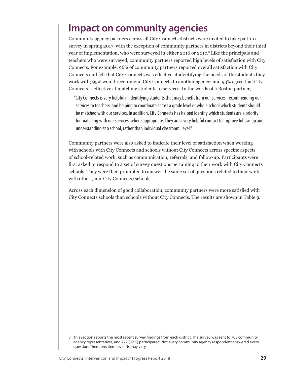# **Impact on community agencies**

Community agency partners across all City Connects districts were invited to take part in a survey in spring 2017, with the exception of community partners in districts beyond their third year of implementation, who were surveyed in either 2016 or 2017.<sup>3</sup> Like the principals and teachers who were surveyed, community partners reported high levels of satisfaction with City Connects. For example, 96% of community partners reported overall satisfaction with City Connects and felt that City Connects was effective at identifying the needs of the students they work with; 95% would recommend City Connects to another agency; and 93% agree that City Connects is effective at matching students to services. In the words of a Boston partner,

"City Connects is very helpful in identifying students that may benefit from our services, recommending our services to teachers, and helping to coordinate across a grade level or whole school which students should be matched with our services. In addition, City Connects has helped identify which students are a priority for matching with our services, where appropriate. They are a very helpful contact to improve follow-up and understanding at a school, rather than individual classroom, level."

Community partners were also asked to indicate their level of satisfaction when working with schools with City Connects and schools without City Connects across specific aspects of school-related work, such as communication, referrals, and follow-up. Participants were first asked to respond to a set of survey questions pertaining to their work with City Connects schools. They were then prompted to answer the same set of questions related to their work with other (non-City Connects) schools.

Across each dimension of good collaboration, community partners were more satisfied with City Connects schools than schools without City Connects. The results are shown in Table 9.

<sup>3</sup> This section reports the most recent survey findings from each district. The survey was sent to 703 community agency representatives, and 222 (32%) participated. Not every community agency respondent answered every question. Therefore, item-level Ns may vary.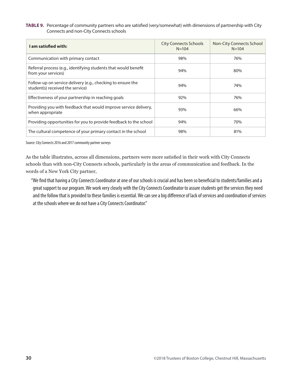#### **TABLE 9.** Percentage of community partners who are satisfied (very/somewhat) with dimensions of partnership with City Connects and non-City Connects schools

| I am satisfied with:                                                                            | <b>City Connects Schools</b><br>$N = 104$ | Non-City Connects School<br>$N = 104$ |
|-------------------------------------------------------------------------------------------------|-------------------------------------------|---------------------------------------|
| Communication with primary contact                                                              | 98%                                       | 76%                                   |
| Referral process (e.g., identifying students that would benefit<br>from your services)          | 94%                                       | 80%                                   |
| Follow-up on service delivery (e.g., checking to ensure the<br>student(s) received the service) | 94%                                       | 74%                                   |
| Effectiveness of your partnership in reaching goals                                             | 92%                                       | 76%                                   |
| Providing you with feedback that would improve service delivery,<br>when appropriate            | 93%                                       | 66%                                   |
| Providing opportunities for you to provide feedback to the school                               | 94%                                       | 70%                                   |
| The cultural competence of your primary contact in the school                                   | 98%                                       | 81%                                   |

Source: City Connects 2016 and 2017 community partner surveys

As the table illustrates, across all dimensions, partners were more satisfied in their work with City Connects schools than with non-City Connects schools, particularly in the areas of communication and feedback. In the words of a New York City partner,

"We find that having a City Connects Coordinator at one of our schools is crucial and has been so beneficial to students/families and a great support to our program. We work very closely with the City Connects Coordinator to assure students get the services they need and the follow that is provided to these families is essential. We can see a big difference of lack of services and coordination of services at the schools where we do not have a City Connects Coordinator."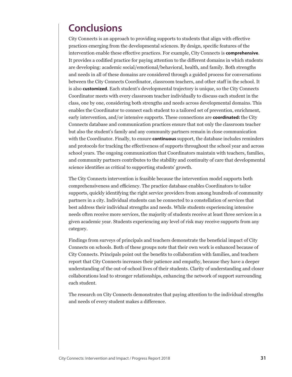# **Conclusions**

City Connects is an approach to providing supports to students that align with effective practices emerging from the developmental sciences. By design, specific features of the intervention enable these effective practices. For example, City Connects is **comprehensive**. It provides a codified practice for paying attention to the different domains in which students are developing: academic social/emotional/behavioral, health, and family. Both strengths and needs in all of these domains are considered through a guided process for conversations between the City Connects Coordinator, classroom teachers, and other staff in the school. It is also **customized**. Each student's developmental trajectory is unique, so the City Connects Coordinator meets with every classroom teacher individually to discuss each student in the class, one by one, considering both strengths and needs across developmental domains. This enables the Coordinator to connect each student to a tailored set of prevention, enrichment, early intervention, and/or intensive supports. These connections are **coordinated:** the City Connects database and communication practices ensure that not only the classroom teacher but also the student's family and any community partners remain in close communication with the Coordinator. Finally, to ensure **continuous** support, the database includes reminders and protocols for tracking the effectiveness of supports throughout the school year and across school years. The ongoing communication that Coordinators maintain with teachers, families, and community partners contributes to the stability and continuity of care that developmental science identifies as critical to supporting students' growth.

The City Connects intervention is feasible because the intervention model supports both comprehensiveness and efficiency. The practice database enables Coordinators to tailor supports, quickly identifying the right service providers from among hundreds of community partners in a city. Individual students can be connected to a constellation of services that best address their individual strengths and needs. While students experiencing intensive needs often receive more services, the majority of students receive at least three services in a given academic year. Students experiencing any level of risk may receive supports from any category.

Findings from surveys of principals and teachers demonstrate the beneficial impact of City Connects on schools. Both of these groups note that their own work is enhanced because of City Connects. Principals point out the benefits to collaboration with families, and teachers report that City Connects increases their patience and empathy, because they have a deeper understanding of the out-of-school lives of their students. Clarity of understanding and closer collaborations lead to stronger relationships, enhancing the network of support surrounding each student.

The research on City Connects demonstrates that paying attention to the individual strengths and needs of every student makes a difference.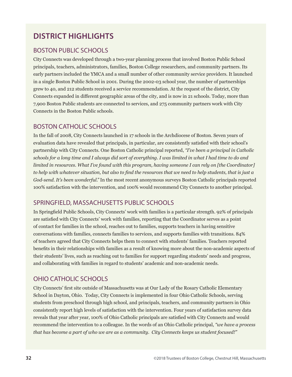# **DISTRICT HIGHLIGHTS**

## BOSTON PUBLIC SCHOOLS

City Connects was developed through a two-year planning process that involved Boston Public School principals, teachers, administrators, families, Boston College researchers, and community partners. Its early partners included the YMCA and a small number of other community service providers. It launched in a single Boston Public School in 2001. During the 2002-03 school year, the number of partnerships grew to 40, and 212 students received a service recommendation. At the request of the district, City Connects expanded in different geographic areas of the city, and is now in 21 schools. Today, more than 7,900 Boston Public students are connected to services, and 275 community partners work with City Connects in the Boston Public schools.

## BOSTON CATHOLIC SCHOOLS

In the fall of 2008, City Connects launched in 17 schools in the Archdiocese of Boston. Seven years of evaluation data have revealed that principals, in particular, are consistently satisfied with their school's partnership with City Connects. One Boston Catholic principal reported, *"I've been a principal in Catholic schools for a long time and I always did sort of everything. I was limited in what I had time to do and limited in resources. What I've found with this program, having someone I can rely on [the Coordinator] to help with whatever situation, but also to find the resources that we need to help students, that is just a God-send. It's been wonderful."* In the most recent anonymous surveys Boston Catholic principals reported 100% satisfaction with the intervention, and 100% would recommend City Connects to another principal.

## SPRINGFIELD, MASSACHUSETTS PUBLIC SCHOOLS

In Springfield Public Schools, City Connects' work with families is a particular strength. 92% of principals are satisfied with City Connects' work with families, reporting that the Coordinator serves as a point of contact for families in the school, reaches out to families, supports teachers in having sensitive conversations with families, connects families to services, and supports families with transitions. 84% of teachers agreed that City Connects helps them to connect with students' families. Teachers reported benefits in their relationships with families as a result of knowing more about the non-academic aspects of their students' lives, such as reaching out to families for support regarding students' needs and progress, and collaborating with families in regard to students' academic and non-academic needs.

## OHIO CATHOLIC SCHOOLS

City Connects' first site outside of Massachusetts was at Our Lady of the Rosary Catholic Elementary School in Dayton, Ohio. Today, City Connects is implemented in four Ohio Catholic Schools, serving students from preschool through high school, and principals, teachers, and community partners in Ohio consistently report high levels of satisfaction with the intervention. Four years of satisfaction survey data reveals that year after year, 100% of Ohio Catholic principals are satisfied with City Connects and would recommend the intervention to a colleague. In the words of an Ohio Catholic principal, *"we have a process that has become a part of who we are as a community. City Connects keeps us student focused!"*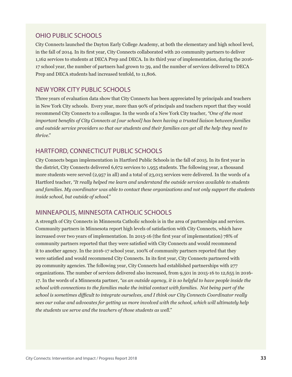## OHIO PUBLIC SCHOOLS

City Connects launched the Dayton Early College Academy, at both the elementary and high school level, in the fall of 2014. In its first year, City Connects collaborated with 20 community partners to deliver 1,162 services to students at DECA Prep and DECA. In its third year of implementation, during the 2016- 17 school year, the number of partners had grown to 39, and the number of services delivered to DECA Prep and DECA students had increased tenfold, to 11,806.

## NEW YORK CITY PUBLIC SCHOOLS

Three years of evaluation data show that City Connects has been appreciated by principals and teachers in New York City schools. Every year, more than 90% of principals and teachers report that they would recommend City Connects to a colleague. In the words of a New York City teacher, *"One of the most important benefits of City Connects at [our school] has been having a trusted liaison between families and outside service providers so that our students and their families can get all the help they need to thrive."*

## HARTFORD, CONNECTICUT PUBLIC SCHOOLS

City Connects began implementation in Hartford Public Schools in the fall of 2015. In its first year in the district, City Connects delivered 6,672 services to 1,955 students. The following year, a thousand more students were served (2,957 in all) and a total of 23,013 services were delivered. In the words of a Hartford teacher, *"It really helped me learn and understand the outside services available to students and families. My coordinator was able to contact these organizations and not only support the students inside school, but outside of school."*

## MINNEAPOLIS, MINNESOTA CATHOLIC SCHOOLS

A strength of City Connects in Minnesota Catholic schools is in the area of partnerships and services. Community partners in Minnesota report high levels of satisfaction with City Connects, which have increased over two years of implementation. In 2015-16 (the first year of implementation) 78% of community partners reported that they were satisfied with City Connects and would recommend it to another agency. In the 2016-17 school year, 100% of community partners reported that they were satisfied and would recommend City Connects. In its first year, City Connects partnered with 29 community agencies. The following year, City Connects had established partnerships with 277 organizations. The number of services delivered also increased, from 9,501 in 2015-16 to 12,655 in 2016- 17. In the words of a Minnesota partner, *"as an outside agency, it is so helpful to have people inside the school with connections to the families make the initial contact with families. Not being part of the school is sometimes difficult to integrate ourselves, and I think our City Connects Coordinator really sees our value and advocates for getting us more involved with the school, which will ultimately help the students we serve and the teachers of those students as well."*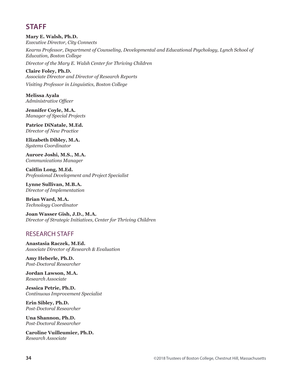## **STAFF**

**Mary E. Walsh, Ph.D.** *Executive Director, City Connects*

*Kearns Professor, Department of Counseling, Developmental and Educational Psychology, Lynch School of Education, Boston College* 

*Director of the Mary E. Walsh Center for Thriving Children*

**Claire Foley, Ph.D.** *Associate Director and Director of Research Reports Visiting Professor in Linguistics, Boston College*

**Melissa Ayala** *Administrative Officer*

**Jennifer Coyle, M.A.** *Manager of Special Projects*

**Patrice DiNatale, M.Ed.** *Director of New Practice*

**Elizabeth Dibley, M.A.** *Systems Coordinator*

**Aurore Joshi, M.S., M.A.** *Communications Manager*

**Caitlin Long, M.Ed.** *Professional Development and Project Specialist*

**Lynne Sullivan, M.B.A.** *Director of Implementation*

**Brian Ward, M.A.** *Technology Coordinator*

**Joan Wasser Gish, J.D., M.A.** *Director of Strategic Initiatives, Center for Thriving Children*

## RESEARCH STAFF

**Anastasia Raczek, M.Ed.** *Associate Director of Research & Evaluation*

**Amy Heberle, Ph.D.** *Post-Doctoral Researcher*

**Jordan Lawson, M.A.** *Research Associate*

**Jessica Petrie, Ph.D.** *Continuous Improvement Specialist*

**Erin Sibley, Ph.D.** *Post-Doctoral Researcher*

**Una Shannon, Ph.D.** *Post-Doctoral Researcher*

**Caroline Vuilleumier, Ph.D.** *Research Associate*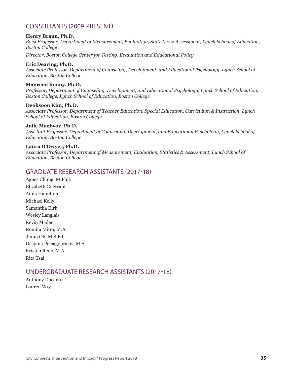## CONSULTANTS (2009-PRESENT)

#### **Henry Braun, Ph.D.**

*Boisi Professor, Department of Measurement, Evaluation, Statistics & Assessment, Lynch School of Education, Boston College*

*Director, Boston College Center for Testing, Evaluation and Educational Policy*

#### **Eric Dearing, Ph.D.**

*Associate Professor, Department of Counseling, Development, and Educational Psychology, Lynch School of Education, Boston College* 

#### **Maureen Kenny, Ph.D.**

*Professor, Department of Counseling, Development, and Educational Psychology, Lynch School of Education, Boston College, Lynch School of Education, Boston College*

#### **Deoksoon Kim, Ph.D.**

*Associate Professor, Department of Teacher Education, Special Education, Curriculum & Instruction, Lynch School of Education, Boston College*

#### **Julie MacEvoy, Ph.D.**

*Assistant Professor, Department of Counseling, Development, and Educational Psychology, Lynch School of Education, Boston College*

#### **Laura O'Dwyer, Ph.D.**

*Associate Professor, Department of Measurement, Evaluation, Statistics & Assessment, Lynch School of Education, Boston College*

### GRADUATE RESEARCH ASSISTANTS (2017-18)

Agnes Chung, M.Phil. Elizabeth Guerrant Anna Hamilton Michael Kelly Samantha Kirk Wesley Langlais Kevin Mader Romita Mitra, M.A. Jimin Oh, M.S.Ed. Despina Petsagourakis, M.A. Kristen Rene, M.A. Rita Tsai

### UNDERGRADUATE RESEARCH ASSISTANTS (2017-18)

Anthony Docanto Lauren Wry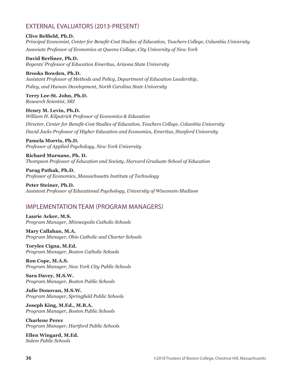### EXTERNAL EVALUATORS (2013-PRESENT)

**Clive Belfield, Ph.D.**

*Principal Economist, Center for Benefit-Cost Studies of Education, Teachers College, Columbia University Associate Professor of Economics at Queens College, City University of New York*

**David Berliner, Ph.D.** *Regents' Professor of Education Emeritus, Arizona State University*

**Brooks Bowden, Ph.D.** *Assistant Professor of Methods and Policy, Department of Education Leadership, Policy, and Human Development, North Carolina State University*

**Terry Lee-St. John, Ph.D.** *Research Scientist, SRI*

**Henry M. Levin, Ph.D.** *William H. Kilpatrick Professor of Economics & Education Director, Center for Benefit-Cost Studies of Education, Teachers College, Columbia University David Jacks Professor of Higher Education and Economics, Emeritus, Stanford University*

**Pamela Morris, Ph.D.** *Professor of Applied Psychology, New York University*

**Richard Murnane, Ph. D.** *Thompson Professor of Education and Society, Harvard Graduate School of Education*

**Parag Pathak, Ph.D.** *Professor of Economics, Massachusetts Institute of Technology*

**Peter Steiner, Ph.D.** *Assistant Professor of Educational Psychology, University of Wisconsin-Madison*

### IMPLEMENTATION TEAM (PROGRAM MANAGERS)

**Laurie Acker, M.S.** *Program Manager, Minneapolis Catholic Schools*

**Mary Callahan, M.A.** *Program Manager, Ohio Catholic and Charter Schools*

**Torylee Cigna, M.Ed.** *Program Manager, Boston Catholic Schools*

**Ron Cope, M.A.S.** *Program Manager, New York City Public Schools*

**Sara Davey, M.S.W.** *Program Manager, Boston Public Schools*

**Julie Donovan, M.S.W.** *Program Manager, Springfield Public Schools*

**Joseph King, M.Ed., M.B.A.** *Program Manager, Boston Public Schools*

**Charlene Perez** *Program Manager, Hartford Public Schools*

**Ellen Wingard, M.Ed.** *Salem Public Schools*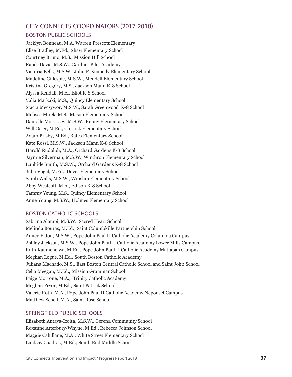## CITY CONNECTS COORDINATORS (2017-2018) BOSTON PUBLIC SCHOOLS

Jacklyn Bonneau, M.A. Warren Prescott Elementary Elise Bradley, M.Ed., Shaw Elementary School Courtney Bruno, M.S., Mission Hill School Randi Davis, M.S.W., Gardner Pilot Academy Victoria Eells, M.S.W., John F. Kennedy Elementary School Madeline Gillespie, M.S.W., Mendell Elementary School Kristina Gregory, M.S., Jackson Mann K-8 School Alyssa Kendall, M.A., Eliot K-8 School Valia Markaki, M.S., Quincy Elementary School Stacia Meczywor, M.S.W., Sarah Greenwood K-8 School Melissa Mirek, M.S., Mason Elementary School Danielle Morrissey, M.S.W., Kenny Elementary School Will Osier, M.Ed., Chittick Elementary School Adam Prisby, M.Ed., Bates Elementary School Kate Rossi, M.S.W., Jackson Mann K-8 School Harold Rudolph, M.A., Orchard Gardens K-8 School Jaymie Silverman, M.S.W., Winthrop Elementary School Lunhide Smith, M.S.W., Orchard Gardens K-8 School Julia Vogel, M.Ed., Dever Elementary School Sarah Walls, M.S.W., Winship Elementary School Abby Westcott, M.A., Edison K-8 School Tammy Yeung, M.S., Quincy Elementary School Anne Young, M.S.W., Holmes Elementary School

### BOSTON CATHOLIC SCHOOLS

Sabrina Alampi, M.S.W., Sacred Heart School Melinda Bouras, M.Ed., Saint Columbkille Partnership School Aimee Eaton, M.S.W., Pope John Paul II Catholic Academy Columbia Campus Ashley Jackson, M.S.W., Pope John Paul II Catholic Academy Lower Mills Campus Ruth Kaumeheiwa, M.Ed., Pope John Paul II Catholic Academy Mattapan Campus Meghan Logue, M.Ed., South Boston Catholic Academy Juliana Machado, M.S., East Boston Central Catholic School and Saint John School Celia Meegan, M.Ed., Mission Grammar School Paige Morrone, M.A., Trinity Catholic Academy Meghan Pryor, M.Ed., Saint Patrick School Valerie Roth, M.A., Pope John Paul II Catholic Academy Neponset Campus Matthew Schell, M.A., Saint Rose School

### SPRINGFIELD PUBLIC SCHOOLS

Elizabeth Antaya-Izoita, M.S.W., Gerena Community School Roxanne Atterbury-Whyne, M.Ed., Rebecca Johnson School Maggie Cahillane, M.A., White Street Elementary School Lindsay Cuadras, M.Ed., South End Middle School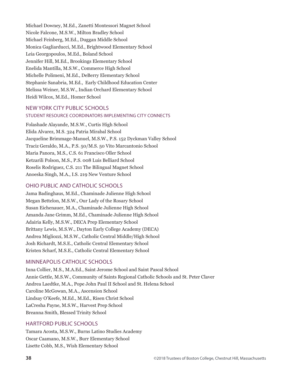Michael Downey, M.Ed., Zanetti Montessori Magnet School Nicole Falcone, M.S.W., Milton Bradley School Michael Feinberg, M.Ed., Duggan Middle School Monica Gagliarducci, M.Ed., Brightwood Elementary School Leia Georgopoulos, M.Ed., Boland School Jennifer Hill, M.Ed., Brookings Elementary School Enelida Mantilla, M.S.W., Commerce High School Michelle Polimeni, M.Ed., DeBerry Elementary School Stephanie Sanabria, M.Ed., Early Childhood Education Center Melissa Weiner, M.S.W., Indian Orchard Elementary School Heidi Wilcox, M.Ed., Homer School

### NEW YORK CITY PUBLIC SCHOOLS

### STUDENT RESOURCE COORDINATORS IMPLEMENTING CITY CONNECTS

Folashade Alayande, M.S.W., Curtis High School Elida Alvarez, M.S. 324 Patria Mirabal School Jacqueline Brimmage-Manuel, M.S.W., P.S. 152 Dyckman Valley School Traciz Geraldo, M.A., P.S. 50/M.S. 50 Vito Marcantonio School Maria Panora, M.S., C.S. 61 Francisco Oller School Ketzarili Polson, M.S., P.S. 008 Luis Belliard School Roselis Rodriguez, C.S. 211 The Bilingual Magnet School Anoeska Singh, M.A., I.S. 219 New Venture School

### OHIO PUBLIC AND CATHOLIC SCHOOLS

Jama Badinghaus, M.Ed., Chaminade Julienne High School Megan Bettelon, M.S.W., Our Lady of the Rosary School Susan Eichenauer, M.A., Chaminade Julienne High School Amanda Jane Grimm, M.Ed., Chaminade Julienne High School Adairia Kelly, M.S.W., DECA Prep Elementary School Brittany Lewis, M.S.W., Dayton Early College Academy (DECA) Andrea Migliozzi, M.S.W., Catholic Central Middle/High School Josh Richardt, M.S.E., Catholic Central Elementary School Kristen Scharf, M.S.E., Catholic Central Elementary School

### MINNEAPOLIS CATHOLIC SCHOOLS

Inna Collier, M.S., M.A.Ed., Saint Jerome School and Saint Pascal School Annie Gettle, M.S.W., Community of Saints Regional Catholic Schools and St. Peter Claver Andrea Laedtke, M.A., Pope John Paul II School and St. Helena School Caroline McGowan, M.A., Ascension School Lindsay O'Keefe, M.Ed., M.Ed., Risen Christ School LaCresha Payne, M.S.W., Harvest Prep School Breanna Smith, Blessed Trinity School

### HARTFORD PUBLIC SCHOOLS

Tamara Acosta, M.S.W., Burns Latino Studies Academy Oscar Caamano, M.S.W., Burr Elementary School Lisette Cobb, M.S., Wish Elementary School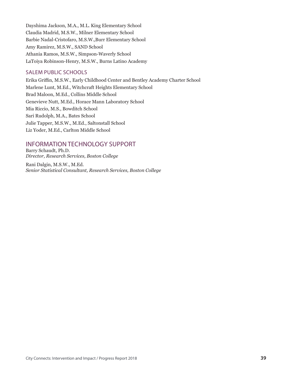Dayshima Jackson, M.A., M.L. King Elementary School Claudia Madrid, M.S.W., Milner Elementary School Barbie Nadal-Cristofaro, M.S.W.,Burr Elementary School Amy Ramirez, M.S.W., SAND School Athania Ramos, M.S.W., Simpson-Waverly School LaToiya Robinson-Henry, M.S.W., Burns Latino Academy

### SALEM PUBLIC SCHOOLS

Erika Griffin, M.S.W., Early Childhood Center and Bentley Academy Charter School Marlene Lunt, M.Ed., Witchcraft Heights Elementary School Brad Maloon, M.Ed., Collins Middle School Genevieve Nutt, M.Ed., Horace Mann Laboratory School Mia Riccio, M.S., Bowditch School Sari Rudolph, M.A., Bates School Julie Tapper, M.S.W., M.Ed., Saltonstall School Liz Yoder, M.Ed., Carlton Middle School

## INFORMATION TECHNOLOGY SUPPORT

Barry Schaudt, Ph.D. *Director, Research Services, Boston College*

Rani Dalgin, M.S.W., M.Ed. *Senior Statistical Consultant, Research Services, Boston College*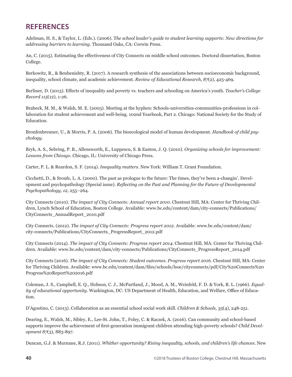## **REFERENCES**

Adelman, H. S., & Taylor, L. (Eds.). (2006). T*he school leader's guide to student learning supports: New directions for addressing barriers to learning.* Thousand Oaks, CA: Corwin Press.

An, C. (2015). Estimating the effectiveness of City Connects on middle school outcomes. Doctoral dissertation, Boston College.

Berkowitz, R., & Benbenishty, R. (2017). A research synthesis of the associations between socioeconomic background, inequality, school climate, and academic achievement. *Review of Educational Research, 87*(2), 425-469.

Berliner, D. (2013). Effects of inequality and poverty vs. teachers and schooling on America's youth. *Teacher's College Record 115*(12), 1-26.

Brabeck, M. M., & Walsh, M. E. (2003). Meeting at the hyphen: Schools-universities-communities-professions in collaboration for student achievement and well-being. 102nd Yearbook, Part 2. Chicago: National Society for the Study of Education.

Bronfenbrenner, U., & Morris, P. A. (2006). The bioecological model of human development. *Handbook of child psychology.*

Bryk, A. S., Sebring, P. B., Allensworth, E., Luppescu, S. & Easton, J. Q. (2010). *Organizing schools for improvement: Lessons from Chicago.* Chicago, IL: University of Chicago Press.

Carter, P. L. & Reardon, S. F. (2014). *Inequality matters.* New York: William T. Grant Foundation.

Cicchetti, D., & Sroufe, L. A. (2000). The past as prologue to the future: The times, they've been a-changin'. Development and psychopathology (Special issue). *Reflecting on the Past and Planning for the Future of Developmental Psychopathology, 12,* 255–264.

City Connects (2010). *The impact of City Connects: Annual report 2010.* Chestnut Hill, MA: Center for Thriving Children, Lynch School of Education, Boston College. Available: www.bc.edu/content/dam/city-connects/Publications/ CityConnects\_AnnualReport\_2010.pdf

City Connects. (2012). *The impact of City Connects: Progress report 2012.* Available: www.bc.edu/content/dam/ city-connects/Publications/CityConnects\_ProgressReport\_2012.pdf

City Connects (2014). *The impact of City Connects: Progress report 2014.* Chestnut Hill, MA: Center for Thriving Children. Available: www.bc.edu/content/dam/city-connects/Publications/CityConnects\_ProgressReport\_2014.pdf

City Connects (2016). *The impact of City Connects: Student outcomes. Progress report 2016.* Chestnut Hill, MA: Center for Thriving Children. Available: www.bc.edu/content/dam/files/schools/lsoe/cityconnects/pdf/City%20Connects%20 Progress%20Report%202016.pdf

Coleman, J. S., Campbell, E. Q., Hobson, C. J., McPartland, J., Mood, A. M., Weinfeld, F. D. & York, R. L. (1966). *Equality of educational opportunity.* Washington, DC: US Department of Health, Education, and Welfare, Office of Education.

D'Agostino, C. (2013). Collaboration as an essential school social work skill. *Children & Schools, 35*(4), 248-251.

Dearing, E., Walsh, M., Sibley, E., Lee-St. John, T., Foley, C. & Raczek, A. (2016). Can community and school-based supports improve the achievement of first-generation immigrant children attending high-poverty schools? *Child Development 87*(3), 883-897.

Duncan, G.J. & Murnane, R.J. (2011). *Whither opportunity? Rising inequality, schools, and children's life chances.* New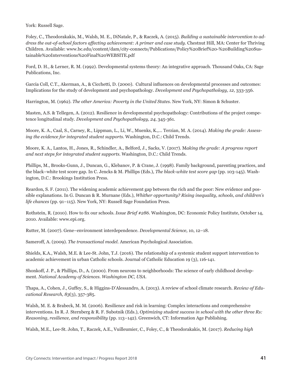York: Russell Sage.

Foley, C., Theodorakakis, M., Walsh, M. E., DiNatale, P., & Raczek, A. (2015). *Building a sustainable intervention to address the out-of-school factors affecting achievement: A primer and case study.* Chestnut Hill, MA: Center for Thriving Children. Available: www.bc.edu/content/dam/city-connects/Publications/Policy%20Brief%20-%20Building%20Sustainable%20Interventions%20Final%20WEBSITE.pdf

Ford, D. H., & Lerner, R. M. (1992). Developmental systems theory: An integrative approach. Thousand Oaks, CA: Sage Publications, Inc.

Garcia Coll, C.T., Akerman, A., & Cicchetti, D. (2000). Cultural influences on developmental processes and outcomes: Implications for the study of development and psychopathology. *Development and Psychopathology, 12,* 333-356.

Harrington, M. (1962). *The other America: Poverty in the United States*. New York, NY: Simon & Schuster.

Masten, A.S. & Tellegen, A. (2012). Resilience in developmental psychopathology: Contributions of the project competence longitudinal study. *Development and Psychopathology, 24,* 345-361.

Moore, K. A., Caal, S., Carney, R., Lippman, L., Li, W., Muenks, K.,… Terzian, M. A. (2014). *Making the grade: Assessing the evidence for integrated student supports.* Washington, D.C.: Child Trends.

Moore, K. A., Lantos, H., Jones, R., Schindler, A., Belford, J., Sacks, V. (2017). M*aking the grade: A progress report and next steps for integrated student supports.* Washington, D.C.: Child Trends.

Phillips, M., Brooks-Gunn, J., Duncan, G., Klebanov, P. & Crane, J. (1998). Family background, parenting practices, and the black–white test score gap. In C. Jencks & M. Phillips (Eds.), *The black-white test score gap* (pp. 103-145). Washington, D.C.: Brookings Institution Press.

Reardon, S. F. (2011). The widening academic achievement gap between the rich and the poor: New evidence and possible explanations. In G. Duncan & R. Murnane (Eds.), *Whither opportunity? Rising inequality, schools, and children's life chances* (pp. 91–115). New York, NY: Russell Sage Foundation Press.

Rothstein, R. (2010). How to fix our schools. *Issue Brief #286.* Washington, DC: Economic Policy Institute, October 14, 2010. Available: www.epi.org.

Rutter, M. (2007). Gene–environment interdependence. *Developmental Science,* 10, 12–18.

Sameroff, A. (2009). *The transactional model.* American Psychological Association.

Shields, K.A., Walsh, M.E. & Lee-St. John, T.J. (2016). The relationship of a systemic student support intervention to academic achievement in urban Catholic schools. Journal of Catholic Education 19 (3), 116-141.

Shonkoff, J. P., & Phillips, D., A. (2000). From neurons to neighborhoods: The science of early childhood development. *National Academy of Sciences. Washington DC, USA.*

Thapa, A., Cohen, J., Guffey, S., & Higgins-D'Alessandro, A. (2013). A review of school climate research. *Review of Educational Research, 83*(3), 357-385.

Walsh, M. E. & Brabeck, M. M. (2006). Resilience and risk in learning: Complex interactions and comprehensive interventions. In R. J. Sternberg & R. F. Subotnik (Eds.), *Optimizing student success in school with the other three Rs: Reasoning, resilience, and responsibility* (pp. 113–142). Greenwich, CT: Information Age Publishing.

Walsh, M.E., Lee-St. John, T., Raczek, A.E., Vuilleumier, C., Foley, C., & Theodorakakis, M. (2017). *Reducing high*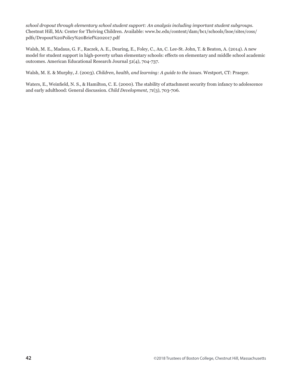*school dropout through elementary school student support: An analysis including important student subgroups.*  Chestnut Hill, MA: Center for Thriving Children. Available: www.bc.edu/content/dam/bc1/schools/lsoe/sites/coss/ pdfs/Dropout%20Policy%20Brief%202017.pdf

Walsh, M. E., Madaus, G. F., Raczek, A. E., Dearing, E., Foley, C., An, C. Lee-St. John, T. & Beaton, A. (2014). A new model for student support in high-poverty urban elementary schools: effects on elementary and middle school academic outcomes. American Educational Research Journal 51(4), 704-737.

Walsh, M. E. & Murphy, J. (2003). *Children, health, and learning: A guide to the issues.* Westport, CT: Praeger.

Waters, E., Weinfield, N. S., & Hamilton, C. E. (2000). The stability of attachment security from infancy to adolescence and early adulthood: General discussion. *Child Development, 71*(3), 703-706.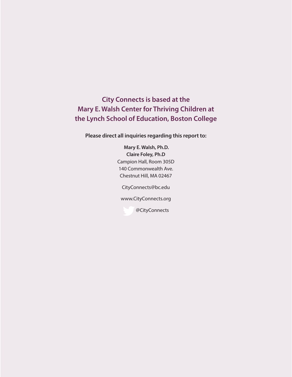**City Connects is based at the Mary E. Walsh Center for Thriving Children at the Lynch School of Education, Boston College**

**Please direct all inquiries regarding this report to:**

 **Mary E. Walsh, Ph.D. Claire Foley, Ph.D** Campion Hall, Room 305D 140 Commonwealth Ave. Chestnut Hill, MA 02467

CityConnects@bc.edu

www.CityConnects.org

@CityConnects